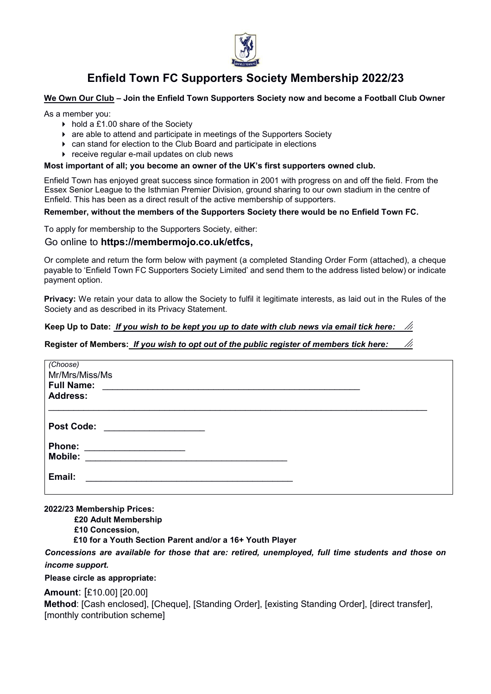

# **Enfield Town FC Supporters Society Membership 2022/23**

# **We Own Our Club ± Join the Enfield Town Supporters Society now and become a Football Club Owner**

As a member you:

- $\triangleright$  hold a £1.00 share of the Society
- are able to attend and participate in meetings of the Supporters Society
- can stand for election to the Club Board and participate in elections
- **F** receive regular e-mail updates on club news

#### Most important of all; you become an owner of the UK's first supporters owned club.

Enfield Town has enjoyed great success since formation in 2001 with progress on and off the field. From the Essex Senior League to the Isthmian Premier Division, ground sharing to our own stadium in the centre of Enfield. This has been as a direct result of the active membership of supporters.

#### **Remember, without the members of the Supporters Society there would be no Enfield Town FC.**

To apply for membership to the Supporters Society, either:

# Go online to **https://membermojo.co.uk/etfcs,**

Or complete and return the form below with payment (a completed Standing Order Form (attached), a cheque payable to 'Enfield Town FC Supporters Society Limited' and send them to the address listed below) or indicate payment option.

**Privacy:** We retain your data to allow the Society to fulfil it legitimate interests, as laid out in the Rules of the Society and as described in its Privacy Statement.

#### **Keep Up to Date:** *If you wish to be kept you up to date with club news via email tick here:*

# **Register of Members:** *If you wish to opt out of the public register of members tick here:*

| (Choose)<br>Mr/Mrs/Miss/Ms<br><b>Full Name:</b><br><b>Address:</b> |  |
|--------------------------------------------------------------------|--|
| <b>Post Code:</b><br><u> 1980 - Jan Samuel Barbara, martin a</u>   |  |
| <b>Phone:</b><br><b>Mobile:</b>                                    |  |
| Email:                                                             |  |

#### **2022/23 Membership Prices:**

**£20 Adult Membership**

**£10 Concession,**

**£10 for a Youth Section Parent and/or a 16+ Youth Player**

*Concessions are available for those that are: retired, unemployed, full time students and those on income support.* 

# **Please circle as appropriate:**

**Amount**: [£10.00] [20.00]

**Method**: [Cash enclosed], [Cheque], [Standing Order], [existing Standing Order], [direct transfer], [monthly contribution scheme]